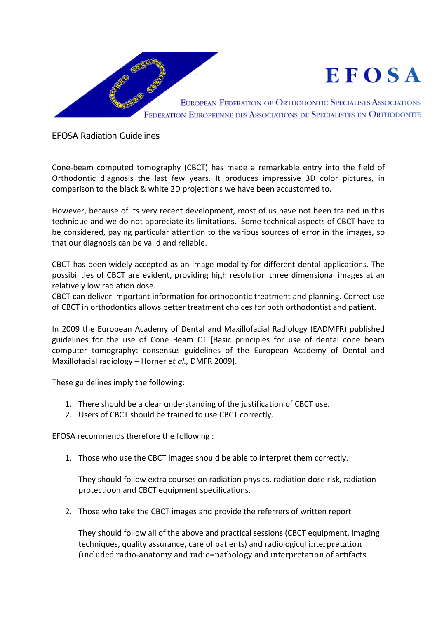

EFOSA Radiation Guidelines

Cone-beam computed tomography (CBCT) has made a remarkable entry into the field of Orthodontic diagnosis the last few years. It produces impressive 3D color pictures, in comparison to the black & white 2D projections we have been accustomed to.

However, because of its very recent development, most of us have not been trained in this technique and we do not appreciate its limitations. Some technical aspects of CBCT have to be considered, paying particular attention to the various sources of error in the images, so that our diagnosis can be valid and reliable.

CBCT has been widely accepted as an image modality for different dental applications. The possibilities of CBCT are evident, providing high resolution three dimensional images at an relatively low radiation dose.

CBCT can deliver important information for orthodontic treatment and planning. Correct use of CBCT in orthodontics allows better treatment choices for both orthodontist and patient.

In 2009 the European Academy of Dental and Maxillofacial Radiology (EADMFR) published guidelines for the use of Cone Beam CT [Basic principles for use of dental cone beam computer tomography: consensus guidelines of the European Academy of Dental and Maxillofacial radiology – Horner *et al.,* DMFR 2009].

These guidelines imply the following:

- 1. There should be a clear understanding of the justification of CBCT use.
- 2. Users of CBCT should be trained to use CBCT correctly.

EFOSA recommends therefore the following :

1. Those who use the CBCT images should be able to interpret them correctly.

They should follow extra courses on radiation physics, radiation dose risk, radiation protectioon and CBCT equipment specifications.

2. Those who take the CBCT images and provide the referrers of written report

They should follow all of the above and practical sessions (CBCT equipment, imaging techniques, quality assurance, care of patients) and radiologicql interpretation (included radio-anatomy and radio=pathology and interpretation of artifacts.